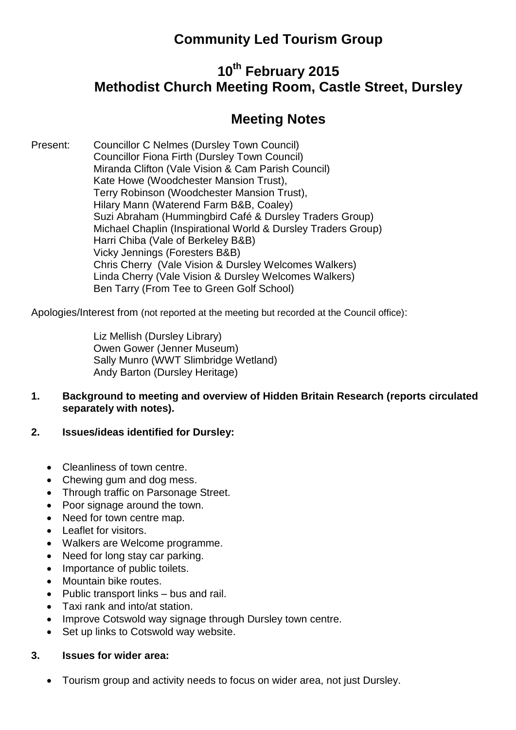## **Community Led Tourism Group**

# **10th February 2015 Methodist Church Meeting Room, Castle Street, Dursley**

## **Meeting Notes**

Present: Councillor C Nelmes (Dursley Town Council) Councillor Fiona Firth (Dursley Town Council) Miranda Clifton (Vale Vision & Cam Parish Council) Kate Howe (Woodchester Mansion Trust), Terry Robinson (Woodchester Mansion Trust), Hilary Mann (Waterend Farm B&B, Coaley) Suzi Abraham (Hummingbird Café & Dursley Traders Group) Michael Chaplin (Inspirational World & Dursley Traders Group) Harri Chiba (Vale of Berkeley B&B) Vicky Jennings (Foresters B&B) Chris Cherry (Vale Vision & Dursley Welcomes Walkers) Linda Cherry (Vale Vision & Dursley Welcomes Walkers) Ben Tarry (From Tee to Green Golf School)

Apologies/Interest from (not reported at the meeting but recorded at the Council office):

Liz Mellish (Dursley Library) Owen Gower (Jenner Museum) Sally Munro (WWT Slimbridge Wetland) Andy Barton (Dursley Heritage)

- **1. Background to meeting and overview of Hidden Britain Research (reports circulated separately with notes).**
- **2. Issues/ideas identified for Dursley:**
	- Cleanliness of town centre.
	- Chewing gum and dog mess.
	- Through traffic on Parsonage Street.
	- Poor signage around the town.
	- Need for town centre map.
	- Leaflet for visitors.
	- Walkers are Welcome programme.
	- Need for long stay car parking.
	- Importance of public toilets.
	- Mountain bike routes.
	- Public transport links bus and rail.
	- Taxi rank and into/at station.
	- Improve Cotswold way signage through Dursley town centre.
	- Set up links to Cotswold way website.

#### **3. Issues for wider area:**

Tourism group and activity needs to focus on wider area, not just Dursley.